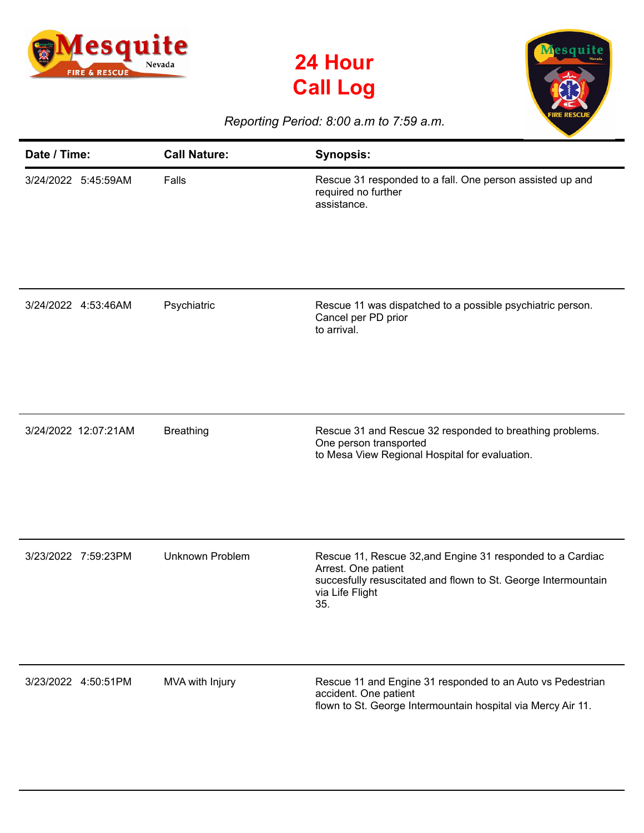





## *Reporting Period: 8:00 a.m to 7:59 a.m.*

| Date / Time:         | <b>Call Nature:</b>    | <b>Synopsis:</b>                                                                                                                                                              |
|----------------------|------------------------|-------------------------------------------------------------------------------------------------------------------------------------------------------------------------------|
| 3/24/2022 5:45:59AM  | Falls                  | Rescue 31 responded to a fall. One person assisted up and<br>required no further<br>assistance.                                                                               |
| 3/24/2022 4:53:46AM  | Psychiatric            | Rescue 11 was dispatched to a possible psychiatric person.<br>Cancel per PD prior<br>to arrival.                                                                              |
| 3/24/2022 12:07:21AM | <b>Breathing</b>       | Rescue 31 and Rescue 32 responded to breathing problems.<br>One person transported<br>to Mesa View Regional Hospital for evaluation.                                          |
| 3/23/2022 7:59:23PM  | <b>Unknown Problem</b> | Rescue 11, Rescue 32, and Engine 31 responded to a Cardiac<br>Arrest. One patient<br>succesfully resuscitated and flown to St. George Intermountain<br>via Life Flight<br>35. |
| 3/23/2022 4:50:51PM  | MVA with Injury        | Rescue 11 and Engine 31 responded to an Auto vs Pedestrian<br>accident. One patient<br>flown to St. George Intermountain hospital via Mercy Air 11.                           |